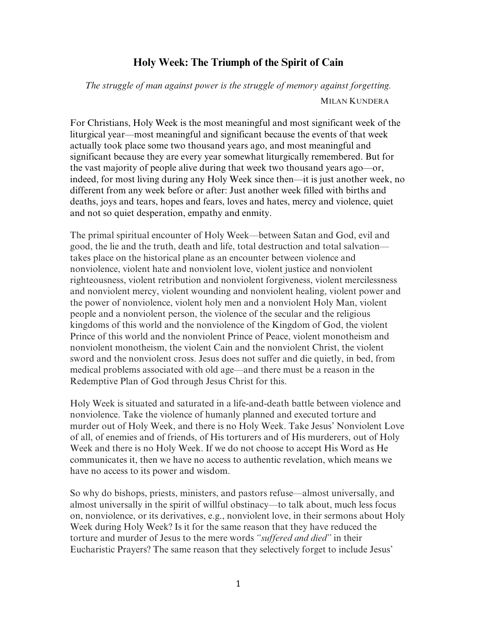## **Holy Week: The Triumph of the Spirit of Cain**

*The struggle of man against power is the struggle of memory against forgetting.* MILAN KUNDERA

For Christians, Holy Week is the most meaningful and most significant week of the liturgical year—most meaningful and significant because the events of that week actually took place some two thousand years ago, and most meaningful and significant because they are every year somewhat liturgically remembered. But for the vast majority of people alive during that week two thousand years ago—or, indeed, for most living during any Holy Week since then—it is just another week, no different from any week before or after: Just another week filled with births and deaths, joys and tears, hopes and fears, loves and hates, mercy and violence, quiet and not so quiet desperation, empathy and enmity.

The primal spiritual encounter of Holy Week—between Satan and God, evil and good, the lie and the truth, death and life, total destruction and total salvation takes place on the historical plane as an encounter between violence and nonviolence, violent hate and nonviolent love, violent justice and nonviolent righteousness, violent retribution and nonviolent forgiveness, violent mercilessness and nonviolent mercy, violent wounding and nonviolent healing, violent power and the power of nonviolence, violent holy men and a nonviolent Holy Man, violent people and a nonviolent person, the violence of the secular and the religious kingdoms of this world and the nonviolence of the Kingdom of God, the violent Prince of this world and the nonviolent Prince of Peace, violent monotheism and nonviolent monotheism, the violent Cain and the nonviolent Christ, the violent sword and the nonviolent cross. Jesus does not suffer and die quietly, in bed, from medical problems associated with old age—and there must be a reason in the Redemptive Plan of God through Jesus Christ for this.

Holy Week is situated and saturated in a life-and-death battle between violence and nonviolence. Take the violence of humanly planned and executed torture and murder out of Holy Week, and there is no Holy Week. Take Jesus' Nonviolent Love of all, of enemies and of friends, of His torturers and of His murderers, out of Holy Week and there is no Holy Week. If we do not choose to accept His Word as He communicates it, then we have no access to authentic revelation, which means we have no access to its power and wisdom.

So why do bishops, priests, ministers, and pastors refuse—almost universally, and almost universally in the spirit of willful obstinacy—to talk about, much less focus on, nonviolence, or its derivatives, e.g., nonviolent love, in their sermons about Holy Week during Holy Week? Is it for the same reason that they have reduced the torture and murder of Jesus to the mere words *"suffered and died"* in their Eucharistic Prayers? The same reason that they selectively forget to include Jesus'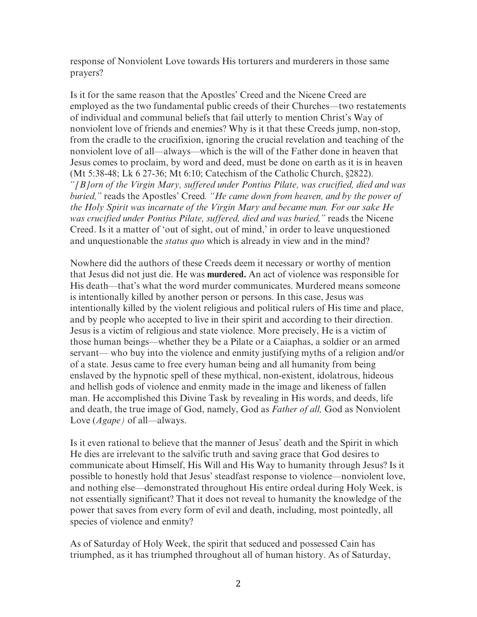response of Nonviolent Love towards His torturers and murderers in those same prayers?

Is it for the same reason that the Apostles' Creed and the Nicene Creed are employed as the two fundamental public creeds of their Churches—two restatements of individual and communal beliefs that fail utterly to mention Christ's Way of nonviolent love of friends and enemies? Why is it that these Creeds jump, non-stop, from the cradle to the crucifixion, ignoring the crucial revelation and teaching of the nonviolent love of all—always—which is the will of the Father done in heaven that Jesus comes to proclaim, by word and deed, must be done on earth as it is in heaven (Mt 5:38-48; Lk 6 27-36; Mt 6:10; Catechism of the Catholic Church, §2822). *"[B]orn of the Virgin Mary, suffered under Pontius Pilate, was crucified, died and was buried,"* reads the Apostles' Creed*. "He came down from heaven, and by the power of the Holy Spirit was incarnate of the Virgin Mary and became man. For our sake He was crucified under Pontius Pilate, suffered, died and was buried,"* reads the Nicene Creed. Is it a matter of 'out of sight, out of mind,' in order to leave unquestioned and unquestionable the *status quo* which is already in view and in the mind?

Nowhere did the authors of these Creeds deem it necessary or worthy of mention that Jesus did not just die. He was **murdered.** An act of violence was responsible for His death—that's what the word murder communicates. Murdered means someone is intentionally killed by another person or persons. In this case, Jesus was intentionally killed by the violent religious and political rulers of His time and place, and by people who accepted to live in their spirit and according to their direction. Jesus is a victim of religious and state violence. More precisely, He is a victim of those human beings—whether they be a Pilate or a Caiaphas, a soldier or an armed servant— who buy into the violence and enmity justifying myths of a religion and/or of a state. Jesus came to free every human being and all humanity from being enslaved by the hypnotic spell of these mythical, non-existent, idolatrous, hideous and hellish gods of violence and enmity made in the image and likeness of fallen man. He accomplished this Divine Task by revealing in His words, and deeds, life and death, the true image of God, namely, God as *Father of all,* God as Nonviolent Love (*Agape)* of all—always.

Is it even rational to believe that the manner of Jesus' death and the Spirit in which He dies are irrelevant to the salvific truth and saving grace that God desires to communicate about Himself, His Will and His Way to humanity through Jesus? Is it possible to honestly hold that Jesus' steadfast response to violence—nonviolent love, and nothing else—demonstrated throughout His entire ordeal during Holy Week, is not essentially significant? That it does not reveal to humanity the knowledge of the power that saves from every form of evil and death, including, most pointedly, all species of violence and enmity?

As of Saturday of Holy Week, the spirit that seduced and possessed Cain has triumphed, as it has triumphed throughout all of human history. As of Saturday,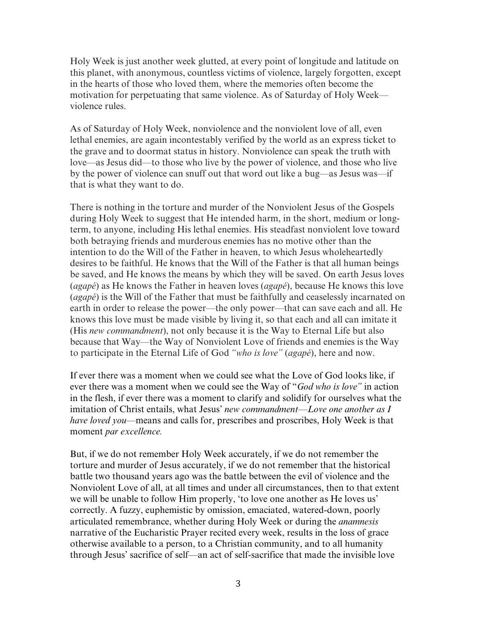Holy Week is just another week glutted, at every point of longitude and latitude on this planet, with anonymous, countless victims of violence, largely forgotten, except in the hearts of those who loved them, where the memories often become the motivation for perpetuating that same violence. As of Saturday of Holy Week violence rules.

As of Saturday of Holy Week, nonviolence and the nonviolent love of all, even lethal enemies, are again incontestably verified by the world as an express ticket to the grave and to doormat status in history. Nonviolence can speak the truth with love—as Jesus did—to those who live by the power of violence, and those who live by the power of violence can snuff out that word out like a bug—as Jesus was—if that is what they want to do.

There is nothing in the torture and murder of the Nonviolent Jesus of the Gospels during Holy Week to suggest that He intended harm, in the short, medium or longterm, to anyone, including His lethal enemies. His steadfast nonviolent love toward both betraying friends and murderous enemies has no motive other than the intention to do the Will of the Father in heaven, to which Jesus wholeheartedly desires to be faithful. He knows that the Will of the Father is that all human beings be saved, and He knows the means by which they will be saved. On earth Jesus loves (*agapé*) as He knows the Father in heaven loves (*agapé*), because He knows this love (*agapé*) is the Will of the Father that must be faithfully and ceaselessly incarnated on earth in order to release the power—the only power—that can save each and all. He knows this love must be made visible by living it, so that each and all can imitate it (His *new commandment*), not only because it is the Way to Eternal Life but also because that Way—the Way of Nonviolent Love of friends and enemies is the Way to participate in the Eternal Life of God *"who is love"* (*agapé*), here and now.

If ever there was a moment when we could see what the Love of God looks like, if ever there was a moment when we could see the Way of "*God who is love"* in action in the flesh, if ever there was a moment to clarify and solidify for ourselves what the imitation of Christ entails, what Jesus' *new commandment—Love one another as I have loved you—*means and calls for, prescribes and proscribes, Holy Week is that moment *par excellence.*

But, if we do not remember Holy Week accurately, if we do not remember the torture and murder of Jesus accurately, if we do not remember that the historical battle two thousand years ago was the battle between the evil of violence and the Nonviolent Love of all, at all times and under all circumstances, then to that extent we will be unable to follow Him properly, 'to love one another as He loves us' correctly. A fuzzy, euphemistic by omission, emaciated, watered-down, poorly articulated remembrance, whether during Holy Week or during the *anamnesis* narrative of the Eucharistic Prayer recited every week, results in the loss of grace otherwise available to a person, to a Christian community, and to all humanity through Jesus' sacrifice of self—an act of self-sacrifice that made the invisible love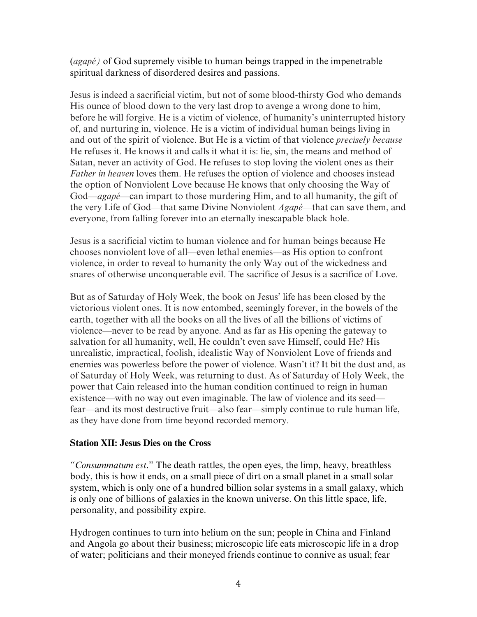(*agapé)* of God supremely visible to human beings trapped in the impenetrable spiritual darkness of disordered desires and passions.

Jesus is indeed a sacrificial victim, but not of some blood-thirsty God who demands His ounce of blood down to the very last drop to avenge a wrong done to him, before he will forgive. He is a victim of violence, of humanity's uninterrupted history of, and nurturing in, violence. He is a victim of individual human beings living in and out of the spirit of violence. But He is a victim of that violence *precisely because* He refuses it. He knows it and calls it what it is: lie, sin, the means and method of Satan, never an activity of God. He refuses to stop loving the violent ones as their *Father in heaven* loves them. He refuses the option of violence and chooses instead the option of Nonviolent Love because He knows that only choosing the Way of God—*agapé—*can impart to those murdering Him, and to all humanity, the gift of the very Life of God—that same Divine Nonviolent *Agapé*—that can save them, and everyone, from falling forever into an eternally inescapable black hole.

Jesus is a sacrificial victim to human violence and for human beings because He chooses nonviolent love of all—even lethal enemies—as His option to confront violence, in order to reveal to humanity the only Way out of the wickedness and snares of otherwise unconquerable evil. The sacrifice of Jesus is a sacrifice of Love.

But as of Saturday of Holy Week, the book on Jesus' life has been closed by the victorious violent ones. It is now entombed, seemingly forever, in the bowels of the earth, together with all the books on all the lives of all the billions of victims of violence—never to be read by anyone. And as far as His opening the gateway to salvation for all humanity, well, He couldn't even save Himself, could He? His unrealistic, impractical, foolish, idealistic Way of Nonviolent Love of friends and enemies was powerless before the power of violence. Wasn't it? It bit the dust and, as of Saturday of Holy Week, was returning to dust. As of Saturday of Holy Week, the power that Cain released into the human condition continued to reign in human existence—with no way out even imaginable. The law of violence and its seed fear—and its most destructive fruit—also fear—simply continue to rule human life, as they have done from time beyond recorded memory.

### **Station XII: Jesus Dies on the Cross**

*"Consummatum est*." The death rattles, the open eyes, the limp, heavy, breathless body, this is how it ends, on a small piece of dirt on a small planet in a small solar system, which is only one of a hundred billion solar systems in a small galaxy, which is only one of billions of galaxies in the known universe. On this little space, life, personality, and possibility expire.

Hydrogen continues to turn into helium on the sun; people in China and Finland and Angola go about their business; microscopic life eats microscopic life in a drop of water; politicians and their moneyed friends continue to connive as usual; fear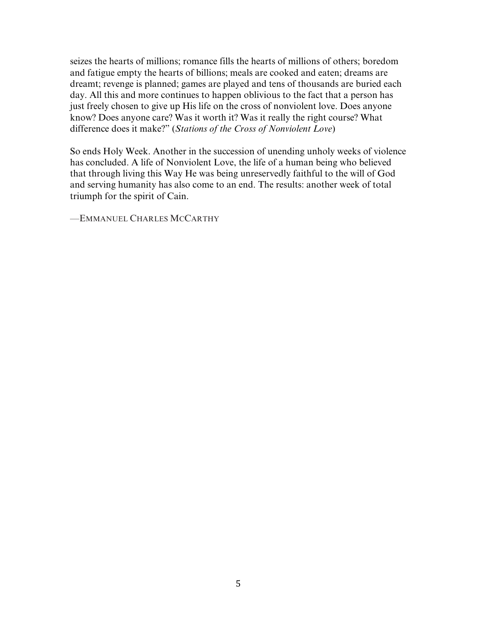seizes the hearts of millions; romance fills the hearts of millions of others; boredom and fatigue empty the hearts of billions; meals are cooked and eaten; dreams are dreamt; revenge is planned; games are played and tens of thousands are buried each day. All this and more continues to happen oblivious to the fact that a person has just freely chosen to give up His life on the cross of nonviolent love. Does anyone know? Does anyone care? Was it worth it? Was it really the right course? What difference does it make?" (*Stations of the Cross of Nonviolent Love*)

So ends Holy Week. Another in the succession of unending unholy weeks of violence has concluded. A life of Nonviolent Love, the life of a human being who believed that through living this Way He was being unreservedly faithful to the will of God and serving humanity has also come to an end. The results: another week of total triumph for the spirit of Cain.

—EMMANUEL CHARLES MCCARTHY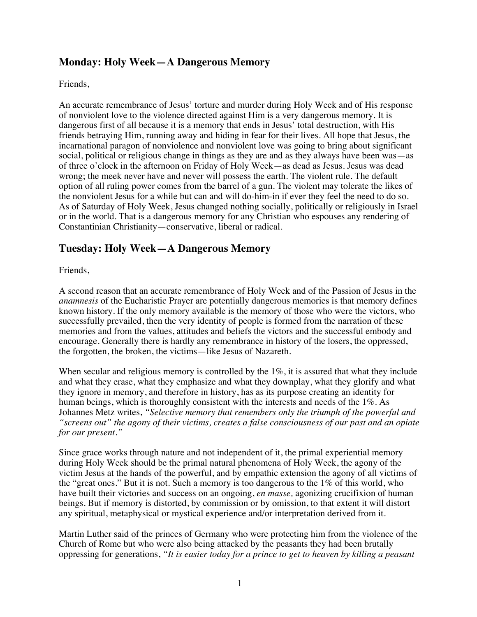## **Monday: Holy Week—A Dangerous Memory**

Friends,

An accurate remembrance of Jesus' torture and murder during Holy Week and of His response of nonviolent love to the violence directed against Him is a very dangerous memory. It is dangerous first of all because it is a memory that ends in Jesus' total destruction, with His friends betraying Him, running away and hiding in fear for their lives. All hope that Jesus, the incarnational paragon of nonviolence and nonviolent love was going to bring about significant social, political or religious change in things as they are and as they always have been was—as of three o'clock in the afternoon on Friday of Holy Week—as dead as Jesus. Jesus was dead wrong; the meek never have and never will possess the earth. The violent rule. The default option of all ruling power comes from the barrel of a gun. The violent may tolerate the likes of the nonviolent Jesus for a while but can and will do-him-in if ever they feel the need to do so. As of Saturday of Holy Week, Jesus changed nothing socially, politically or religiously in Israel or in the world. That is a dangerous memory for any Christian who espouses any rendering of Constantinian Christianity—conservative, liberal or radical.

## **Tuesday: Holy Week—A Dangerous Memory**

Friends,

A second reason that an accurate remembrance of Holy Week and of the Passion of Jesus in the *anamnesis* of the Eucharistic Prayer are potentially dangerous memories is that memory defines known history. If the only memory available is the memory of those who were the victors, who successfully prevailed, then the very identity of people is formed from the narration of these memories and from the values, attitudes and beliefs the victors and the successful embody and encourage. Generally there is hardly any remembrance in history of the losers, the oppressed, the forgotten, the broken, the victims—like Jesus of Nazareth.

When secular and religious memory is controlled by the 1%, it is assured that what they include and what they erase, what they emphasize and what they downplay, what they glorify and what they ignore in memory, and therefore in history, has as its purpose creating an identity for human beings, which is thoroughly consistent with the interests and needs of the 1%. As Johannes Metz writes, *"Selective memory that remembers only the triumph of the powerful and "screens out" the agony of their victims, creates a false consciousness of our past and an opiate for our present."*

Since grace works through nature and not independent of it, the primal experiential memory during Holy Week should be the primal natural phenomena of Holy Week, the agony of the victim Jesus at the hands of the powerful, and by empathic extension the agony of all victims of the "great ones." But it is not. Such a memory is too dangerous to the 1% of this world, who have built their victories and success on an ongoing, *en masse,* agonizing crucifixion of human beings. But if memory is distorted, by commission or by omission, to that extent it will distort any spiritual, metaphysical or mystical experience and/or interpretation derived from it.

Martin Luther said of the princes of Germany who were protecting him from the violence of the Church of Rome but who were also being attacked by the peasants they had been brutally oppressing for generations, *"It is easier today for a prince to get to heaven by killing a peasant*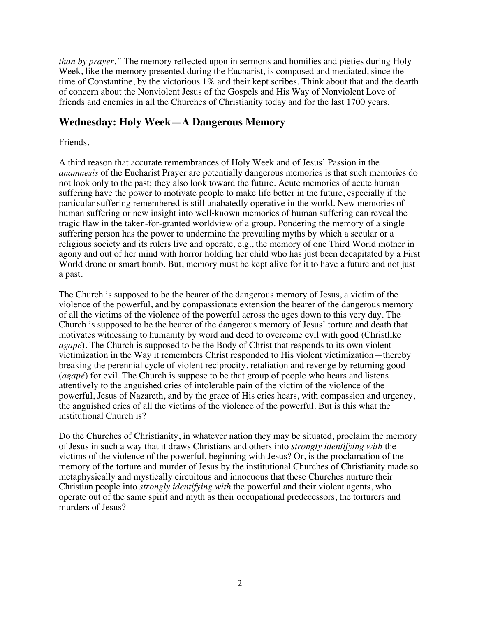*than by prayer.*" The memory reflected upon in sermons and homilies and pieties during Holy Week, like the memory presented during the Eucharist, is composed and mediated, since the time of Constantine, by the victorious 1% and their kept scribes. Think about that and the dearth of concern about the Nonviolent Jesus of the Gospels and His Way of Nonviolent Love of friends and enemies in all the Churches of Christianity today and for the last 1700 years.

### **Wednesday: Holy Week—A Dangerous Memory**

### Friends,

A third reason that accurate remembrances of Holy Week and of Jesus' Passion in the *anamnesis* of the Eucharist Prayer are potentially dangerous memories is that such memories do not look only to the past; they also look toward the future. Acute memories of acute human suffering have the power to motivate people to make life better in the future, especially if the particular suffering remembered is still unabatedly operative in the world. New memories of human suffering or new insight into well-known memories of human suffering can reveal the tragic flaw in the taken-for-granted worldview of a group. Pondering the memory of a single suffering person has the power to undermine the prevailing myths by which a secular or a religious society and its rulers live and operate, e.g., the memory of one Third World mother in agony and out of her mind with horror holding her child who has just been decapitated by a First World drone or smart bomb. But, memory must be kept alive for it to have a future and not just a past.

The Church is supposed to be the bearer of the dangerous memory of Jesus, a victim of the violence of the powerful, and by compassionate extension the bearer of the dangerous memory of all the victims of the violence of the powerful across the ages down to this very day. The Church is supposed to be the bearer of the dangerous memory of Jesus' torture and death that motivates witnessing to humanity by word and deed to overcome evil with good (Christlike *agapé*). The Church is supposed to be the Body of Christ that responds to its own violent victimization in the Way it remembers Christ responded to His violent victimization—thereby breaking the perennial cycle of violent reciprocity, retaliation and revenge by returning good (*agapé*) for evil. The Church is suppose to be that group of people who hears and listens attentively to the anguished cries of intolerable pain of the victim of the violence of the powerful, Jesus of Nazareth, and by the grace of His cries hears, with compassion and urgency, the anguished cries of all the victims of the violence of the powerful. But is this what the institutional Church is?

Do the Churches of Christianity, in whatever nation they may be situated, proclaim the memory of Jesus in such a way that it draws Christians and others into *strongly identifying with* the victims of the violence of the powerful, beginning with Jesus? Or, is the proclamation of the memory of the torture and murder of Jesus by the institutional Churches of Christianity made so metaphysically and mystically circuitous and innocuous that these Churches nurture their Christian people into *strongly identifying with* the powerful and their violent agents, who operate out of the same spirit and myth as their occupational predecessors, the torturers and murders of Jesus?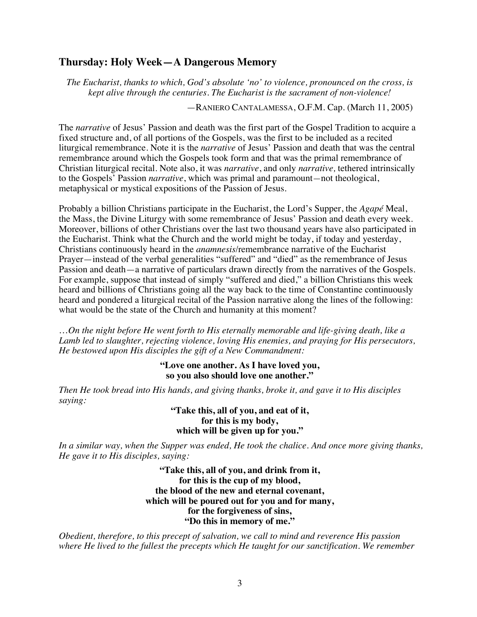### **Thursday: Holy Week—A Dangerous Memory**

*The Eucharist, thanks to which, God's absolute 'no' to violence, pronounced on the cross, is kept alive through the centuries. The Eucharist is the sacrament of non-violence!*

—RANIERO CANTALAMESSA, O.F.M. Cap. (March 11, 2005)

The *narrative* of Jesus' Passion and death was the first part of the Gospel Tradition to acquire a fixed structure and, of all portions of the Gospels, was the first to be included as a recited liturgical remembrance. Note it is the *narrative* of Jesus' Passion and death that was the central remembrance around which the Gospels took form and that was the primal remembrance of Christian liturgical recital. Note also, it was *narrative*, and only *narrative,* tethered intrinsically to the Gospels' Passion *narrative*, which was primal and paramount*—*not theological, metaphysical or mystical expositions of the Passion of Jesus.

Probably a billion Christians participate in the Eucharist, the Lord's Supper, the *Agapé* Meal, the Mass, the Divine Liturgy with some remembrance of Jesus' Passion and death every week. Moreover, billions of other Christians over the last two thousand years have also participated in the Eucharist. Think what the Church and the world might be today, if today and yesterday, Christians continuously heard in the *anamnesis*/remembrance narrative of the Eucharist Prayer—instead of the verbal generalities "suffered" and "died" as the remembrance of Jesus Passion and death—a narrative of particulars drawn directly from the narratives of the Gospels. For example, suppose that instead of simply "suffered and died," a billion Christians this week heard and billions of Christians going all the way back to the time of Constantine continuously heard and pondered a liturgical recital of the Passion narrative along the lines of the following: what would be the state of the Church and humanity at this moment?

…*On the night before He went forth to His eternally memorable and life-giving death, like a Lamb led to slaughter, rejecting violence, loving His enemies, and praying for His persecutors, He bestowed upon His disciples the gift of a New Commandment:* 

#### **"Love one another. As I have loved you, so you also should love one another."**

*Then He took bread into His hands, and giving thanks, broke it, and gave it to His disciples saying:* 

> **"Take this, all of you, and eat of it, for this is my body, which will be given up for you."**

*In a similar way, when the Supper was ended, He took the chalice. And once more giving thanks, He gave it to His disciples, saying:* 

> **"Take this, all of you, and drink from it, for this is the cup of my blood, the blood of the new and eternal covenant, which will be poured out for you and for many, for the forgiveness of sins, "Do this in memory of me."**

*Obedient, therefore, to this precept of salvation, we call to mind and reverence His passion where He lived to the fullest the precepts which He taught for our sanctification. We remember*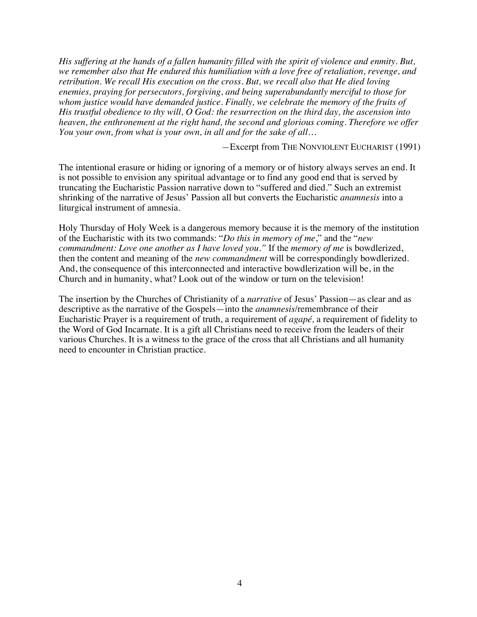*His suffering at the hands of a fallen humanity filled with the spirit of violence and enmity. But, we remember also that He endured this humiliation with a love free of retaliation, revenge, and retribution. We recall His execution on the cross. But, we recall also that He died loving enemies, praying for persecutors, forgiving, and being superabundantly merciful to those for whom justice would have demanded justice. Finally, we celebrate the memory of the fruits of His trustful obedience to thy will, O God: the resurrection on the third day, the ascension into heaven, the enthronement at the right hand, the second and glorious coming. Therefore we offer You your own, from what is your own, in all and for the sake of all…*

*—*Excerpt from THE NONVIOLENT EUCHARIST (1991)

The intentional erasure or hiding or ignoring of a memory or of history always serves an end. It is not possible to envision any spiritual advantage or to find any good end that is served by truncating the Eucharistic Passion narrative down to "suffered and died." Such an extremist shrinking of the narrative of Jesus' Passion all but converts the Eucharistic *anamnesis* into a liturgical instrument of amnesia.

Holy Thursday of Holy Week is a dangerous memory because it is the memory of the institution of the Eucharistic with its two commands: "*Do this in memory of me*," and the "*new commandment: Love one another as I have loved you."* If the *memory of me* is bowdlerized, then the content and meaning of the *new commandment* will be correspondingly bowdlerized. And, the consequence of this interconnected and interactive bowdlerization will be, in the Church and in humanity, what? Look out of the window or turn on the television!

The insertion by the Churches of Christianity of a *narrative* of Jesus' Passion—as clear and as descriptive as the narrative of the Gospels—into the *anamnesis*/remembrance of their Eucharistic Prayer is a requirement of truth, a requirement of *agapé,* a requirement of fidelity to the Word of God Incarnate. It is a gift all Christians need to receive from the leaders of their various Churches. It is a witness to the grace of the cross that all Christians and all humanity need to encounter in Christian practice.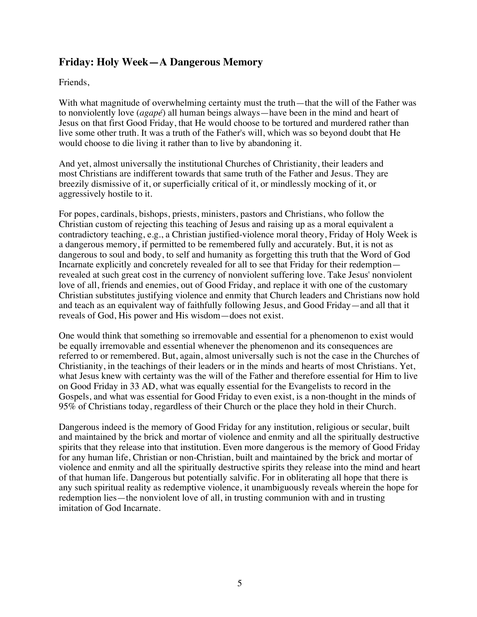# **Friday: Holy Week—A Dangerous Memory**

Friends,

With what magnitude of overwhelming certainty must the truth—that the will of the Father was to nonviolently love (*agapé*) all human beings always—have been in the mind and heart of Jesus on that first Good Friday, that He would choose to be tortured and murdered rather than live some other truth. It was a truth of the Father's will, which was so beyond doubt that He would choose to die living it rather than to live by abandoning it.

And yet, almost universally the institutional Churches of Christianity, their leaders and most Christians are indifferent towards that same truth of the Father and Jesus. They are breezily dismissive of it, or superficially critical of it, or mindlessly mocking of it, or aggressively hostile to it.

For popes, cardinals, bishops, priests, ministers, pastors and Christians, who follow the Christian custom of rejecting this teaching of Jesus and raising up as a moral equivalent a contradictory teaching, e.g., a Christian justified-violence moral theory, Friday of Holy Week is a dangerous memory, if permitted to be remembered fully and accurately. But, it is not as dangerous to soul and body, to self and humanity as forgetting this truth that the Word of God Incarnate explicitly and concretely revealed for all to see that Friday for their redemption revealed at such great cost in the currency of nonviolent suffering love. Take Jesus' nonviolent love of all, friends and enemies, out of Good Friday, and replace it with one of the customary Christian substitutes justifying violence and enmity that Church leaders and Christians now hold and teach as an equivalent way of faithfully following Jesus, and Good Friday—and all that it reveals of God, His power and His wisdom—does not exist.

One would think that something so irremovable and essential for a phenomenon to exist would be equally irremovable and essential whenever the phenomenon and its consequences are referred to or remembered. But, again, almost universally such is not the case in the Churches of Christianity, in the teachings of their leaders or in the minds and hearts of most Christians. Yet, what Jesus knew with certainty was the will of the Father and therefore essential for Him to live on Good Friday in 33 AD, what was equally essential for the Evangelists to record in the Gospels, and what was essential for Good Friday to even exist, is a non-thought in the minds of 95% of Christians today, regardless of their Church or the place they hold in their Church.

Dangerous indeed is the memory of Good Friday for any institution, religious or secular, built and maintained by the brick and mortar of violence and enmity and all the spiritually destructive spirits that they release into that institution. Even more dangerous is the memory of Good Friday for any human life, Christian or non-Christian, built and maintained by the brick and mortar of violence and enmity and all the spiritually destructive spirits they release into the mind and heart of that human life. Dangerous but potentially salvific. For in obliterating all hope that there is any such spiritual reality as redemptive violence, it unambiguously reveals wherein the hope for redemption lies—the nonviolent love of all, in trusting communion with and in trusting imitation of God Incarnate.